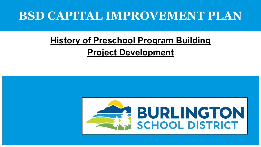## **BSD CAPITAL IMPROVEMENT PLAN**

## **History of Preschool Program Building Project Development**

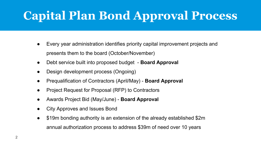# **Capital Plan Bond Approval Process**

- Every year administration identifies priority capital improvement projects and presents them to the board (October/November)
- Debt service built into proposed budget **Board Approval**
- Design development process (Ongoing)
- Prequalification of Contractors (April/May) **Board Approval**
- Project Request for Proposal (RFP) to Contractors
- Awards Project Bid (May/June) **Board Approval**
- **City Approves and Issues Bond**
- \$19m bonding authority is an extension of the already established \$2m annual authorization process to address \$39m of need over 10 years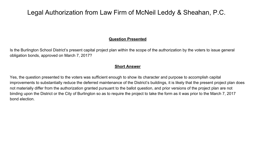### Legal Authorization from Law Firm of McNeil Leddy & Sheahan, P.C.

#### **Question Presented**

Is the Burlington School District's present capital project plan within the scope of the authorization by the voters to issue general obligation bonds, approved on March 7, 2017?

#### **Short Answer**

Yes, the question presented to the voters was sufficient enough to show its character and purpose to accomplish capital improvements to substantially reduce the deferred maintenance of the District's buildings, it is likely that the present project plan does not materially differ from the authorization granted pursuant to the ballot question, and prior versions of the project plan are not binding upon the District or the City of Burlington so as to require the project to take the form as it was prior to the March 7, 2017 bond election.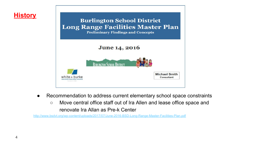

- Recommendation to address current elementary school space constraints
	- Move central office staff out of Ira Allen and lease office space and renovate Ira Allan as Pre-k Center

<http://www.bsdvt.org/wp-content/uploads/2017/07/June-2016-BSD-Long-Range-Master-Facilities-Plan.pdf>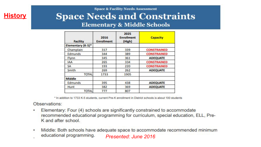**History**

**Space & Facility Needs Assessment** 

### **Space Needs and Constraints**

#### **Elementary & Middle Schools**

| <b>Facility</b>   | 2016<br><b>Enrollment</b> | 2025<br><b>Enrollment</b><br>(High) | <b>Capacity</b>    |
|-------------------|---------------------------|-------------------------------------|--------------------|
| Elementary (K-5)* |                           |                                     |                    |
| Champlain         | 317                       | 339                                 | <b>CONSTRAINED</b> |
| Edmunds           | 344                       | 389                                 | <b>CONSTRAINED</b> |
| Flynn             | 345                       | 361                                 | <b>ADEQUATE</b>    |
| <b>IAA</b>        | 265                       | 334                                 | <b>CONSTRAINED</b> |
| <b>SA</b>         | 193                       | 220                                 | <b>CONSTRAINED</b> |
| Smith             | 269                       | 262                                 | <b>ADEQUATE</b>    |
| <b>TOTAL</b>      | 1733                      | 1905                                |                    |
| Middle            |                           |                                     |                    |
| Edmunds           | 395                       | 438                                 | <b>ADEQUATE</b>    |
| Hunt              | 382                       | 369                                 | <b>ADEQUATE</b>    |
| <b>TOTAL</b>      | 777                       | 807                                 |                    |

\* In addition to 1733 K-5 students, current Pre-K enrollment in District schools is about 100 students

Observations:

- Elementary: Four (4) schools are significantly constrained to accommodate ٠ recommended educational programming for curriculum, special education, ELL, Pre-K and after school.
- Middle: Both schools have adequate space to accommodate recommended minimum ٠ educational programming. *Presented: June 2016*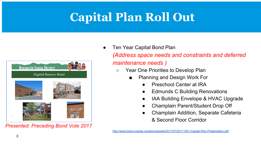# **Capital Plan Roll Out**



*Presented: Preceding Bond Vote 2017* 

- Ten Year Capital Bond Plan *(Address space needs and constraints and deferred maintenance needs )*
	- Year One Priorities to Develop Plan
		- Planning and Design Work For
			- **Preschool Center at IRA**
			- **Edmunds C Building Renovations**
			- IAA Building Envelope & HVAC Upgrade
			- Champlain Parent/Student Drop Off
			- **Champlain Addition, Separate Cafeteria** & Second Floor Corridor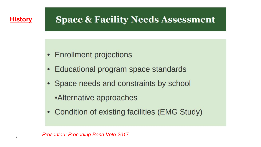### **History**

### **Space & Facility Needs Assessment**

- Enrollment projections
- Educational program space standards
- Space needs and constraints by school

•Alternative approaches

• Condition of existing facilities (EMG Study)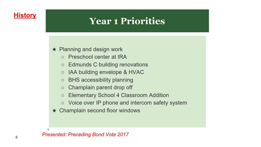

### **Year 1 Priorities**

#### $\star$  Planning and design work

- Preschool center at IRA
- $\circ$  Edmunds C building renovations
- IAA building envelope & HVAC  $\circ$
- **BHS** accessibility planning  $\circ$
- Champlain parent drop off  $\circ$
- **Elementary School 4 Classroom Addition**  $\circ$
- Voice over IP phone and intercom safety system
- $\star$  Champlain second floor windows

6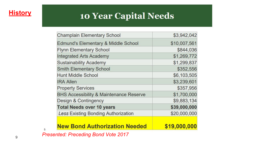

### **10 Year Capital Needs**

| <b>New Bond Authorization Needed</b>               | \$19,000,000 |  |  |
|----------------------------------------------------|--------------|--|--|
| <b>Less Existing Bonding Authorization</b>         | \$20,000,000 |  |  |
| <b>Total Needs over 10 years</b>                   | \$39,000,000 |  |  |
| Design & Contingency                               | \$9,883,134  |  |  |
| <b>BHS Accessibility &amp; Maintenance Reserve</b> | \$1,700,000  |  |  |
| <b>Property Services</b>                           | \$357,956    |  |  |
| <b>IRA Allen</b>                                   | \$3,239,601  |  |  |
| <b>Hunt Middle School</b>                          | \$6,103,505  |  |  |
| <b>Smith Elementary School</b>                     | \$352,556    |  |  |
| <b>Sustainability Academy</b>                      | \$1,299,837  |  |  |
| <b>Integrated Arts Academy</b>                     | \$1,269,772  |  |  |
| <b>Flynn Elementary School</b>                     | \$844,036    |  |  |
| Edmund's Elementary & Middle School                | \$10,007,561 |  |  |
| <b>Champlain Elementary School</b>                 | \$3,942,042  |  |  |

<sup>9</sup> *Presented: Preceding Bond Vote 2017* 

5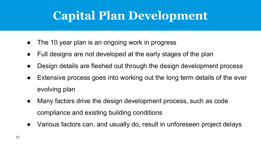# **Capital Plan Development**

- The 10 year plan is an ongoing work in progress
- Full designs are not developed at the early stages of the plan
- Design details are fleshed out through the design development process
- Extensive process goes into working out the long term details of the ever evolving plan
- Many factors drive the design development process, such as code compliance and existing building conditions
- Various factors can, and usually do, result in unforeseen project delays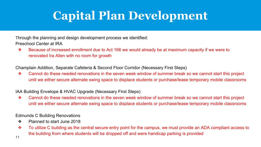# **Capital Plan Development**

Through the planning and design development process we identified: Preschool Center at IRA

❖ Because of increased enrollment due to Act 166 we would already be at maximum capacity if we were to renovated Ira Allen with no room for growth

Champlain Addition, Separate Cafeteria & Second Floor Corridor (Necessary First Steps)

❖ Cannot do these needed renovations in the seven week window of summer break so we cannot start this project until we either secure alternate swing space to displace students or purchase/lease temporary mobile classrooms

#### IAA Building Envelope & HVAC Upgrade (Necessary First Steps)

❖ Cannot do these needed renovations in the seven week window of summer break so we cannot start this project until we either secure alternate swing space to displace students or purchase/lease temporary mobile classrooms

#### Edmunds C Building Renovations

- ❖ Planned to start June 2018
- ❖ To utilize C building as the central secure entry point for the campus, we must provide an ADA compliant access to the building from where students will be dropped off and were handicap parking is provided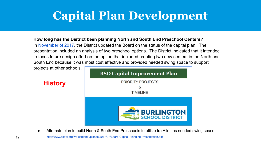# **Capital Plan Development**

#### **How long has the District been planning North and South End Preschool Centers?**

In [November of 2017](http://www.bsdvt.org/wp-content/uploads/2017/07/Board-Capital-Planning-Presentation.pdf), the District updated the Board on the status of the capital plan. The presentation included an analysis of two preschool options. The District indicated that it intended to focus future design effort on the option that included creating two new centers in the North and South End because it was most cost effective and provided needed swing space to support

projects at other schools.

**History**



Alternate plan to build North & South End Preschools to utilize Ira Allen as needed swing space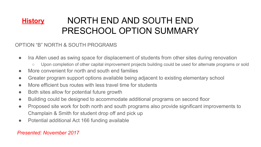### NORTH END AND SOUTH END PRESCHOOL OPTION SUMMARY **History**

#### OPTION "B" NORTH & SOUTH PROGRAMS

- Ira Allen used as swing space for displacement of students from other sites during renovation
	- Upon completion of other capital improvement projects building could be used for alternate programs or sold
- More convenient for north and south end families
- Greater program support options available being adjacent to existing elementary school
- More efficient bus routes with less travel time for students
- Both sites allow for potential future growth
- Building could be designed to accommodate additional programs on second floor
- Proposed site work for both north and south programs also provide significant improvements to Champlain & Smith for student drop off and pick up
- Potential additional Act 166 funding available

#### *Presented: November 2017*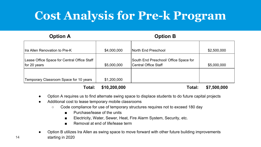# **Cost Analysis for Pre-k Program**

#### **Option A Option B**

| Ira Allen Renovation to Pre-K                               | \$4,000,000 | North End Preschool                                                  | \$2,500,000 |
|-------------------------------------------------------------|-------------|----------------------------------------------------------------------|-------------|
| Lease Office Space for Central Office Staff<br>for 20 years | \$5,000,000 | South End Preschool/ Office Space for<br><b>Central Office Staff</b> | \$5,000,000 |
| Temporary Classroom Space for 10 years                      | \$1,200,000 |                                                                      |             |
|                                                             |             |                                                                      |             |

**Total: \$10,200,000 Total: \$7,500,000**

- Option A requires us to find alternate swing space to displace students to do future capital projects
- Additional cost to lease temporary mobile classrooms
	- Code compliance for use of temporary structures requires not to exceed 180 day
		- Purchase/lease of the units
		- Electricity, Water, Sewer, Heat, Fire Alarm System, Security, etc.
		- Removal at end of life/lease term
- Option B utilizes Ira Allen as swing space to move forward with other future building improvements starting in 2020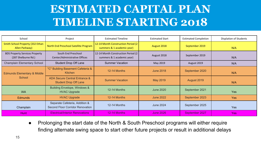## **ESTIMATED CAPITAL PLAN TIMELINE STARTING 2018**

| School                                                       | Project                                                            | <b>Estimated Timeline</b>                                         | <b>Estimated Start</b> | <b>Estimated Completion</b> | Displation of Students |
|--------------------------------------------------------------|--------------------------------------------------------------------|-------------------------------------------------------------------|------------------------|-----------------------------|------------------------|
| Smith School Property (332 Ethan<br>Allen Parkway)           | North End Preschool Satellite Program                              | 12-14 Month Construction Period (2<br>summers & 1 academic year)  | August 2018            | September 2019              | N/A                    |
| <b>BDS Property Services Property</b><br>(287 Shelburne Rd.) | South End Preschool<br>Center/Administrative Offices               | 12-14 Month Construction Period (2)<br>summers & 1 academic year) | August 2018            | September 2019              | N/A                    |
| Champlain Elementary School                                  | Student Drop Off Lane                                              | <b>Summer Vacation</b>                                            | May 2019               | August 2019                 | N/A                    |
| Edmunds Elementary & Middle<br>School                        | "C" Building Basement Cafeteria &<br><b>Kitchen</b>                | 12-14 Months                                                      | <b>June 2018</b>       | September 2020              | N/A                    |
|                                                              | ADA Secure Central Entrance &<br><b>Student Drop Off Lane</b>      | <b>Summer Vacation</b>                                            | May 2019               | August 2019                 | N/A                    |
| <b>IAA</b>                                                   | <b>Building Envelope, Windows &amp;</b><br><b>HVAC Upgrade</b>     | 12-14 Months                                                      | <b>June 2020</b>       | September 2021              | <b>Yes</b>             |
| <b>Edmunds</b>                                               | <b>HVAC Upgrade</b>                                                | 12-14 Months                                                      | <b>June 2022</b>       | September 2023              | <b>Yes</b>             |
| Champlain                                                    | Separate Cafeteria, Addition &<br>Second Floor Corridor Renovation | 12-14 Months                                                      | <b>June 2024</b>       | September 2025              | <b>Yes</b>             |
| <b>Hunt</b>                                                  | <b>Electrical/Interior Renovations</b>                             | 12-14 Months                                                      | <b>June 2026</b>       | September 2027              | Yes:                   |

● Prolonging the start date of the North & South Preschool programs will either require finding alternate swing space to start other future projects or result in additional delays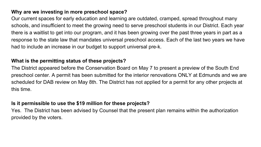#### **Why are we investing in more preschool space?**

Our current spaces for early education and learning are outdated, cramped, spread throughout many schools, and insufficient to meet the growing need to serve preschool students in our District. Each year there is a waitlist to get into our program, and it has been growing over the past three years in part as a response to the state law that mandates universal preschool access. Each of the last two years we have had to include an increase in our budget to support universal pre-k.

#### **What is the permitting status of these projects?**

The District appeared before the Conservation Board on May 7 to present a preview of the South End preschool center. A permit has been submitted for the interior renovations ONLY at Edmunds and we are scheduled for DAB review on May 8th. The District has not applied for a permit for any other projects at this time.

#### **Is it permissible to use the \$19 million for these projects?**

Yes. The District has been advised by Counsel that the present plan remains within the authorization provided by the voters.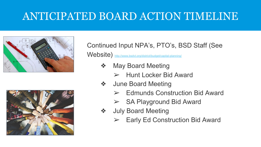## ANTICIPATED BOARD ACTION TIMELINE





Continued Input NPA's, PTO's, BSD Staff (See Website) <http://www.bsdvt.org/district/budget/capital-planning/>

- ❖ May Board Meeting
	- ➢ Hunt Locker Bid Award
- ❖ June Board Meeting
	- $\triangleright$  Edmunds Construction Bid Award
	- SA Playground Bid Award
- **July Board Meeting** 
	- $\triangleright$  Early Ed Construction Bid Award